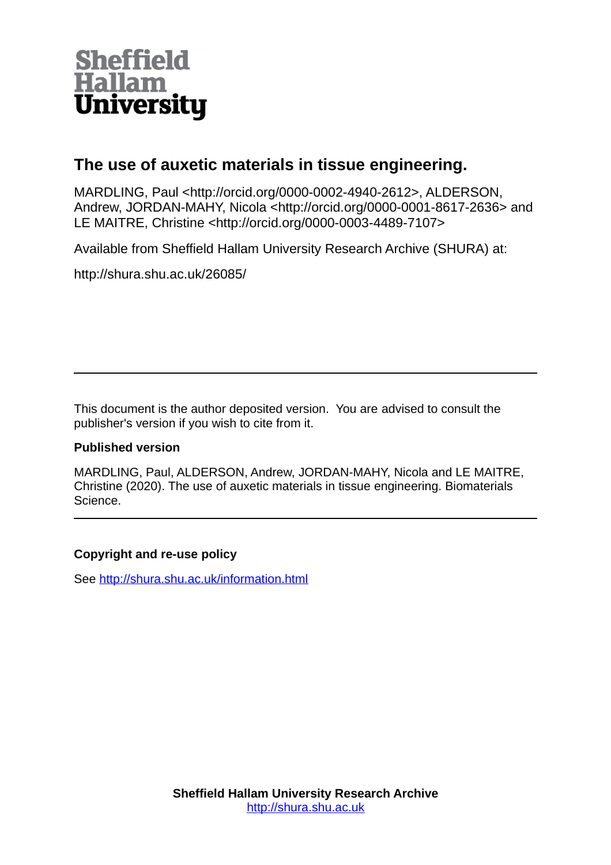

# **The use of auxetic materials in tissue engineering.**

MARDLING, Paul <http://orcid.org/0000-0002-4940-2612>, ALDERSON, Andrew, JORDAN-MAHY, Nicola <http://orcid.org/0000-0001-8617-2636> and LE MAITRE, Christine <http://orcid.org/0000-0003-4489-7107>

Available from Sheffield Hallam University Research Archive (SHURA) at:

http://shura.shu.ac.uk/26085/

This document is the author deposited version. You are advised to consult the publisher's version if you wish to cite from it.

# **Published version**

MARDLING, Paul, ALDERSON, Andrew, JORDAN-MAHY, Nicola and LE MAITRE, Christine (2020). The use of auxetic materials in tissue engineering. Biomaterials Science.

# **Copyright and re-use policy**

See<http://shura.shu.ac.uk/information.html>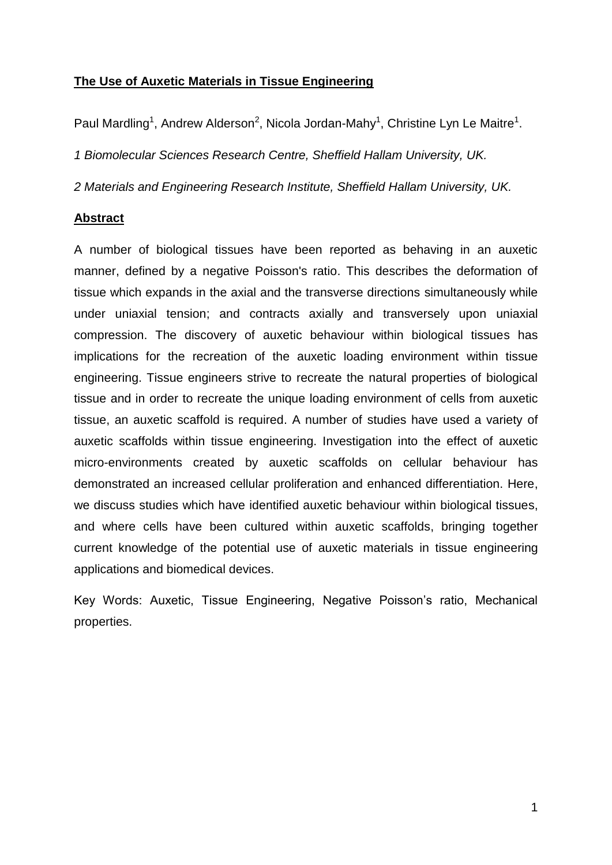# **The Use of Auxetic Materials in Tissue Engineering**

Paul Mardling<sup>1</sup>, Andrew Alderson<sup>2</sup>, Nicola Jordan-Mahy<sup>1</sup>, Christine Lyn Le Maitre<sup>1</sup>.

*1 Biomolecular Sciences Research Centre, Sheffield Hallam University, UK.*

*2 Materials and Engineering Research Institute, Sheffield Hallam University, UK.* 

# **Abstract**

A number of biological tissues have been reported as behaving in an auxetic manner, defined by a negative Poisson's ratio. This describes the deformation of tissue which expands in the axial and the transverse directions simultaneously while under uniaxial tension; and contracts axially and transversely upon uniaxial compression. The discovery of auxetic behaviour within biological tissues has implications for the recreation of the auxetic loading environment within tissue engineering. Tissue engineers strive to recreate the natural properties of biological tissue and in order to recreate the unique loading environment of cells from auxetic tissue, an auxetic scaffold is required. A number of studies have used a variety of auxetic scaffolds within tissue engineering. Investigation into the effect of auxetic micro-environments created by auxetic scaffolds on cellular behaviour has demonstrated an increased cellular proliferation and enhanced differentiation. Here, we discuss studies which have identified auxetic behaviour within biological tissues, and where cells have been cultured within auxetic scaffolds, bringing together current knowledge of the potential use of auxetic materials in tissue engineering applications and biomedical devices.

Key Words: Auxetic, Tissue Engineering, Negative Poisson's ratio, Mechanical properties.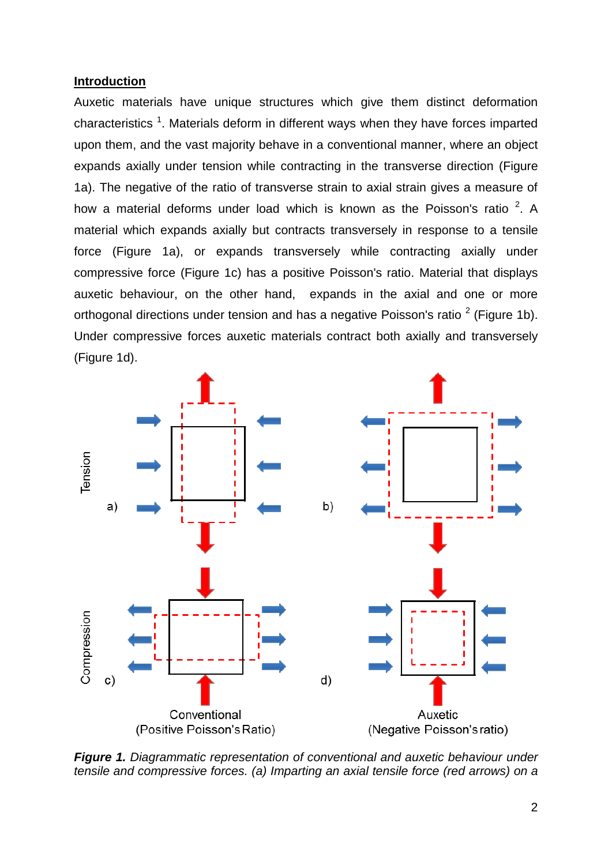#### **Introduction**

Auxetic materials have unique structures which give them distinct deformation characteristics<sup>1</sup>. Materials deform in different ways when they have forces imparted upon them, and the vast majority behave in a conventional manner, where an object expands axially under tension while contracting in the transverse direction (Figure 1a). The negative of the ratio of transverse strain to axial strain gives a measure of how a material deforms under load which is known as the Poisson's ratio  $2$ . A material which expands axially but contracts transversely in response to a tensile force (Figure 1a), or expands transversely while contracting axially under compressive force (Figure 1c) has a positive Poisson's ratio. Material that displays auxetic behaviour, on the other hand, expands in the axial and one or more orthogonal directions under tension and has a negative Poisson's ratio  $2$  (Figure 1b). Under compressive forces auxetic materials contract both axially and transversely (Figure 1d).



*Figure 1. Diagrammatic representation of conventional and auxetic behaviour under tensile and compressive forces. (a) Imparting an axial tensile force (red arrows) on a*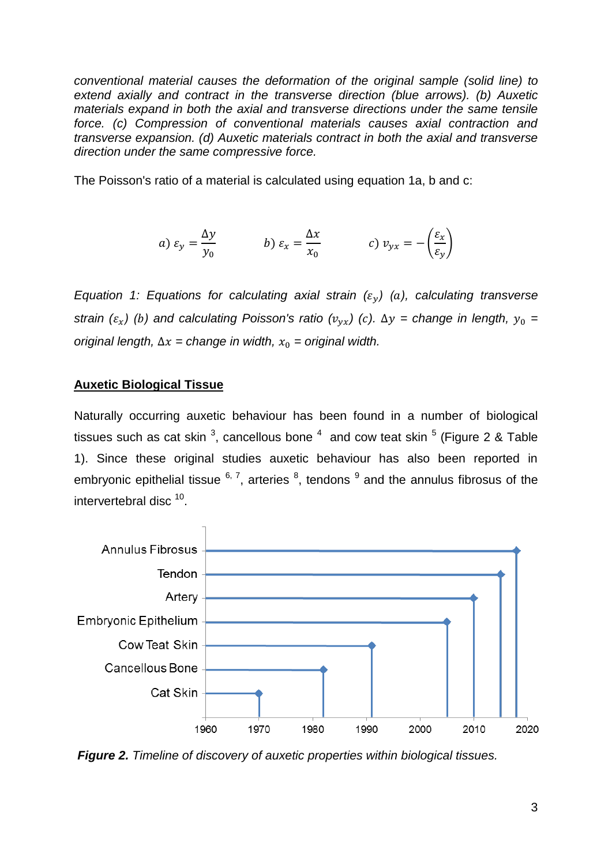*conventional material causes the deformation of the original sample (solid line) to extend axially and contract in the transverse direction (blue arrows). (b) Auxetic materials expand in both the axial and transverse directions under the same tensile force. (c) Compression of conventional materials causes axial contraction and transverse expansion. (d) Auxetic materials contract in both the axial and transverse direction under the same compressive force.*

The Poisson's ratio of a material is calculated using equation 1a, b and c:

a) 
$$
\varepsilon_y = \frac{\Delta y}{y_0}
$$
 \t\t b)  $\varepsilon_x = \frac{\Delta x}{x_0}$  \t\t c)  $v_{yx} = -\left(\frac{\varepsilon_x}{\varepsilon_y}\right)$ 

*Equation 1: Equations for calculating axial strain*  $(\varepsilon_v)$  *(a), calculating transverse strain*  $(\varepsilon_x)$  *(b)* and calculating Poisson's ratio  $(\nu_{vx})$  *(c)*.  $\Delta y$  = change in length,  $y_0$  = *original length,*  $\Delta x$  *= change in width,*  $x_0$  *= original width.* 

#### **Auxetic Biological Tissue**

Naturally occurring auxetic behaviour has been found in a number of biological tissues such as cat skin <sup>3</sup>, cancellous bone  $^4$  and cow teat skin  $^5$  (Figure 2 & Table 1). Since these original studies auxetic behaviour has also been reported in embryonic epithelial tissue  $6, 7$ , arteries  $8$ , tendons  $9$  and the annulus fibrosus of the intervertebral disc<sup>10</sup>.



*Figure 2. Timeline of discovery of auxetic properties within biological tissues.*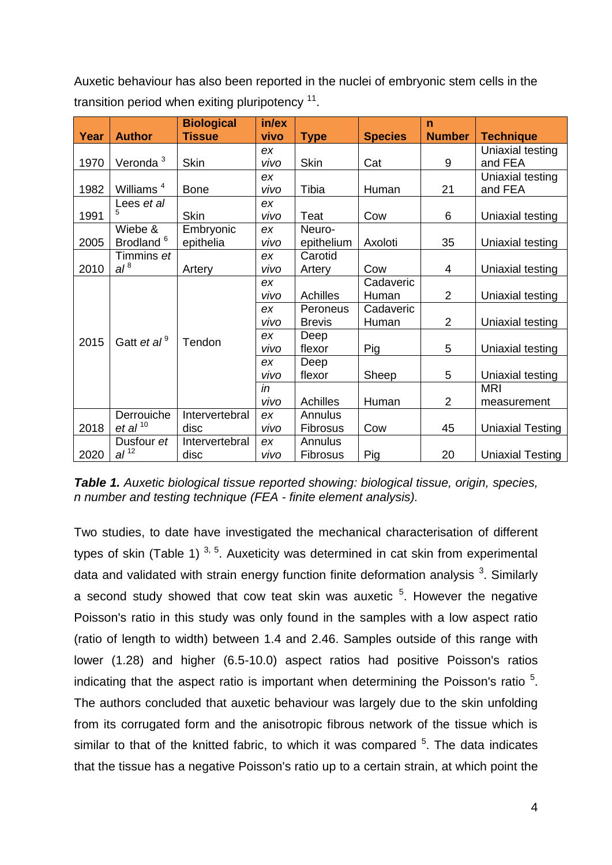Auxetic behaviour has also been reported in the nuclei of embryonic stem cells in the transition period when exiting pluripotency  $^{11}$ .

| Year | <b>Author</b>                     | <b>Biological</b><br><b>Tissue</b> | in/ex<br>vivo | <b>Type</b>                | <b>Species</b>     | $\mathbf n$<br><b>Number</b> | <b>Technique</b>            |
|------|-----------------------------------|------------------------------------|---------------|----------------------------|--------------------|------------------------------|-----------------------------|
| 1970 | Veronda <sup>3</sup>              | <b>Skin</b>                        | ex<br>vivo    | <b>Skin</b>                | Cat                | 9                            | Uniaxial testing<br>and FEA |
| 1982 | Williams <sup>4</sup>             | <b>Bone</b>                        | ex<br>vivo    | Tibia                      | Human              | 21                           | Uniaxial testing<br>and FEA |
| 1991 | Lees et al<br>5.                  | <b>Skin</b>                        | ex<br>vivo    | Teat                       | Cow                | 6                            | Uniaxial testing            |
| 2005 | Wiebe &<br>Brodland <sup>6</sup>  | Embryonic<br>epithelia             | ex<br>vivo    | Neuro-<br>epithelium       | Axoloti            | 35                           | Uniaxial testing            |
| 2010 | Timmins et<br>al <sup>8</sup>     | Artery                             | ex<br>vivo    | Carotid<br>Artery          | Cow                | 4                            | Uniaxial testing            |
| 2015 | Gatt et al <sup>9</sup>           | Tendon                             | ex<br>vivo    | <b>Achilles</b>            | Cadaveric<br>Human | $\overline{2}$               | Uniaxial testing            |
|      |                                   |                                    | ex<br>vivo    | Peroneus<br><b>Brevis</b>  | Cadaveric<br>Human | $\overline{2}$               | Uniaxial testing            |
|      |                                   |                                    | ex<br>vivo    | Deep<br>flexor             | Pig                | 5                            | Uniaxial testing            |
|      |                                   |                                    | ex<br>vivo    | Deep<br>flexor             | Sheep<br>5         |                              | Uniaxial testing            |
|      |                                   |                                    | in<br>vivo    | <b>Achilles</b>            | Human              | $\overline{2}$               | <b>MRI</b><br>measurement   |
| 2018 | Derrouiche<br>et al <sup>10</sup> | Intervertebral<br>disc             | ex<br>vivo    | Annulus<br>Fibrosus        | Cow                | 45                           | <b>Uniaxial Testing</b>     |
| 2020 | Dusfour et<br>al <sup>12</sup>    | Intervertebral<br>disc             | ex<br>vivo    | Annulus<br><b>Fibrosus</b> | Pig                | 20                           | <b>Uniaxial Testing</b>     |

*Table 1. Auxetic biological tissue reported showing: biological tissue, origin, species, n number and testing technique (FEA - finite element analysis).*

Two studies, to date have investigated the mechanical characterisation of different types of skin (Table 1)  $3, 5$ . Auxeticity was determined in cat skin from experimental data and validated with strain energy function finite deformation analysis <sup>3</sup>. Similarly a second study showed that cow teat skin was auxetic  $5$ . However the negative Poisson's ratio in this study was only found in the samples with a low aspect ratio (ratio of length to width) between 1.4 and 2.46. Samples outside of this range with lower (1.28) and higher (6.5-10.0) aspect ratios had positive Poisson's ratios indicating that the aspect ratio is important when determining the Poisson's ratio  $5$ . The authors concluded that auxetic behaviour was largely due to the skin unfolding from its corrugated form and the anisotropic fibrous network of the tissue which is similar to that of the knitted fabric, to which it was compared  $5$ . The data indicates that the tissue has a negative Poisson's ratio up to a certain strain, at which point the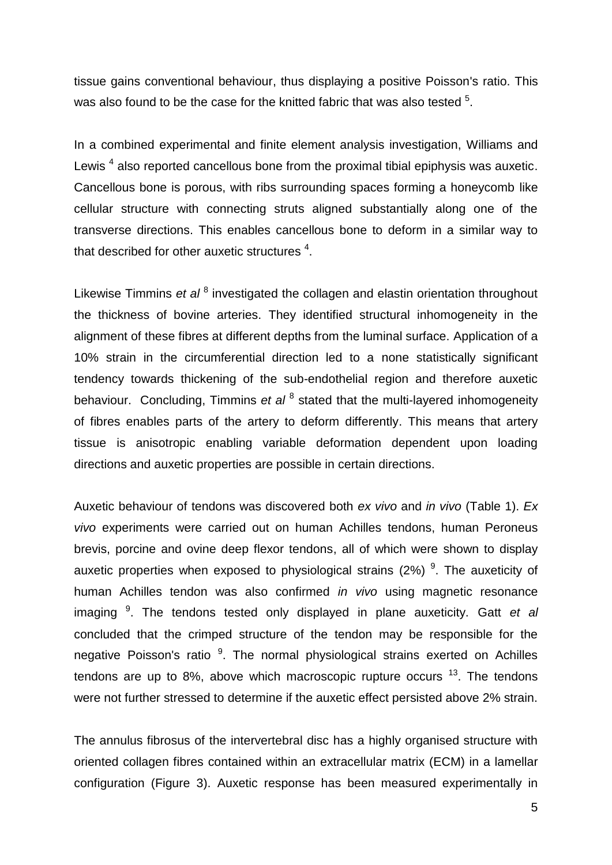tissue gains conventional behaviour, thus displaying a positive Poisson's ratio. This was also found to be the case for the knitted fabric that was also tested  $5$ .

In a combined experimental and finite element analysis investigation, Williams and Lewis<sup>4</sup> also reported cancellous bone from the proximal tibial epiphysis was auxetic. Cancellous bone is porous, with ribs surrounding spaces forming a honeycomb like cellular structure with connecting struts aligned substantially along one of the transverse directions. This enables cancellous bone to deform in a similar way to that described for other auxetic structures  $4$ .

Likewise Timmins et al <sup>8</sup> investigated the collagen and elastin orientation throughout the thickness of bovine arteries. They identified structural inhomogeneity in the alignment of these fibres at different depths from the luminal surface. Application of a 10% strain in the circumferential direction led to a none statistically significant tendency towards thickening of the sub-endothelial region and therefore auxetic behaviour. Concluding, Timmins et al<sup>8</sup> stated that the multi-layered inhomogeneity of fibres enables parts of the artery to deform differently. This means that artery tissue is anisotropic enabling variable deformation dependent upon loading directions and auxetic properties are possible in certain directions.

Auxetic behaviour of tendons was discovered both *ex vivo* and *in vivo* (Table 1). *Ex vivo* experiments were carried out on human Achilles tendons, human Peroneus brevis, porcine and ovine deep flexor tendons, all of which were shown to display auxetic properties when exposed to physiological strains (2%) <sup>9</sup>. The auxeticity of human Achilles tendon was also confirmed *in vivo* using magnetic resonance imaging <sup>9</sup>. The tendons tested only displayed in plane auxeticity. Gatt et al concluded that the crimped structure of the tendon may be responsible for the negative Poisson's ratio<sup>9</sup>. The normal physiological strains exerted on Achilles tendons are up to 8%, above which macroscopic rupture occurs  $^{13}$ . The tendons were not further stressed to determine if the auxetic effect persisted above 2% strain.

The annulus fibrosus of the intervertebral disc has a highly organised structure with oriented collagen fibres contained within an extracellular matrix (ECM) in a lamellar configuration (Figure 3). Auxetic response has been measured experimentally in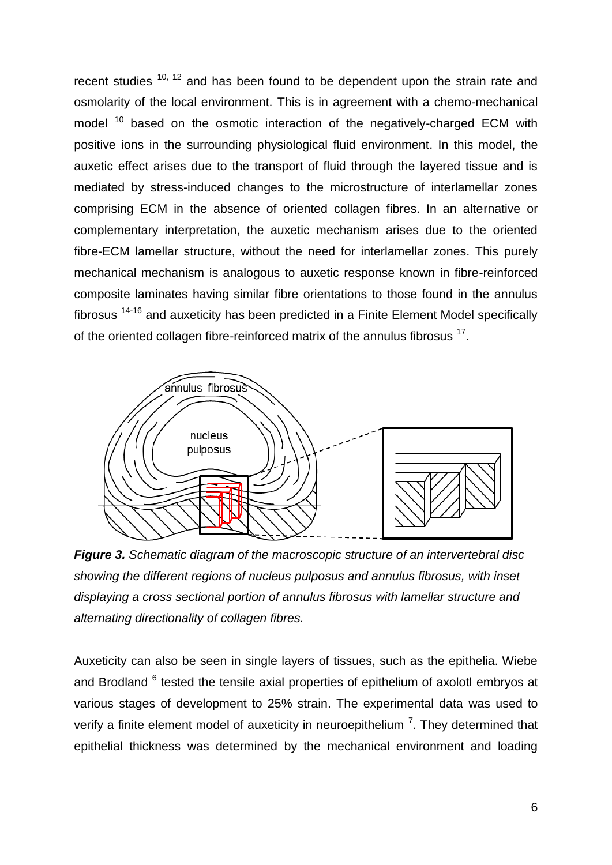recent studies  $10$ ,  $12$  and has been found to be dependent upon the strain rate and osmolarity of the local environment. This is in agreement with a chemo-mechanical model<sup>10</sup> based on the osmotic interaction of the negatively-charged ECM with positive ions in the surrounding physiological fluid environment. In this model, the auxetic effect arises due to the transport of fluid through the layered tissue and is mediated by stress-induced changes to the microstructure of interlamellar zones comprising ECM in the absence of oriented collagen fibres. In an alternative or complementary interpretation, the auxetic mechanism arises due to the oriented fibre-ECM lamellar structure, without the need for interlamellar zones. This purely mechanical mechanism is analogous to auxetic response known in fibre-reinforced composite laminates having similar fibre orientations to those found in the annulus fibrosus 14-16 and auxeticity has been predicted in a Finite Element Model specifically of the oriented collagen fibre-reinforced matrix of the annulus fibrosus  $17$ .



*Figure 3. Schematic diagram of the macroscopic structure of an intervertebral disc showing the different regions of nucleus pulposus and annulus fibrosus, with inset displaying a cross sectional portion of annulus fibrosus with lamellar structure and alternating directionality of collagen fibres.*

Auxeticity can also be seen in single layers of tissues, such as the epithelia. Wiebe and Brodland <sup>6</sup> tested the tensile axial properties of epithelium of axolotl embryos at various stages of development to 25% strain. The experimental data was used to verify a finite element model of auxeticity in neuroepithelium  $<sup>7</sup>$ . They determined that</sup> epithelial thickness was determined by the mechanical environment and loading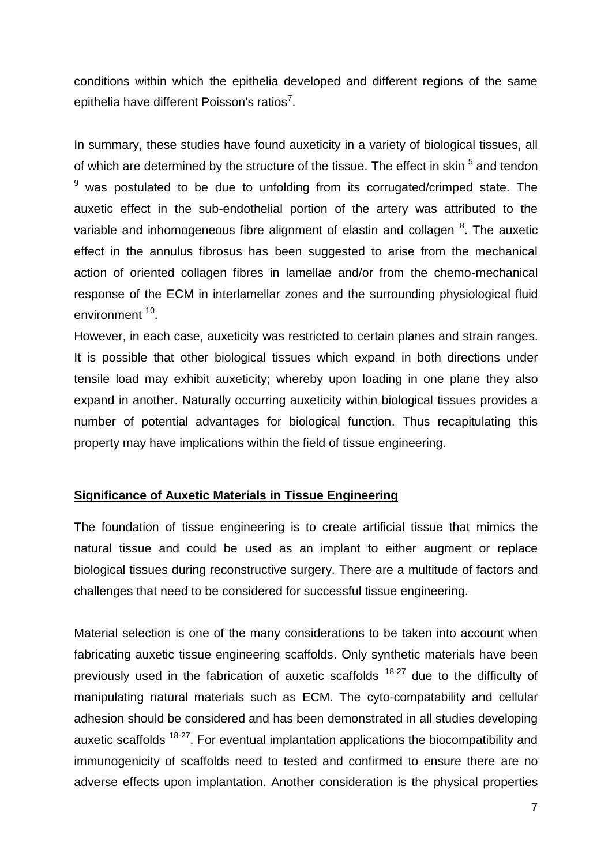conditions within which the epithelia developed and different regions of the same epithelia have different Poisson's ratios<sup>7</sup>.

In summary, these studies have found auxeticity in a variety of biological tissues, all of which are determined by the structure of the tissue. The effect in skin <sup>5</sup> and tendon  $9$  was postulated to be due to unfolding from its corrugated/crimped state. The auxetic effect in the sub-endothelial portion of the artery was attributed to the variable and inhomogeneous fibre alignment of elastin and collagen <sup>8</sup>. The auxetic effect in the annulus fibrosus has been suggested to arise from the mechanical action of oriented collagen fibres in lamellae and/or from the chemo-mechanical response of the ECM in interlamellar zones and the surrounding physiological fluid environment<sup>10</sup>.

However, in each case, auxeticity was restricted to certain planes and strain ranges. It is possible that other biological tissues which expand in both directions under tensile load may exhibit auxeticity; whereby upon loading in one plane they also expand in another. Naturally occurring auxeticity within biological tissues provides a number of potential advantages for biological function. Thus recapitulating this property may have implications within the field of tissue engineering.

# **Significance of Auxetic Materials in Tissue Engineering**

The foundation of tissue engineering is to create artificial tissue that mimics the natural tissue and could be used as an implant to either augment or replace biological tissues during reconstructive surgery. There are a multitude of factors and challenges that need to be considered for successful tissue engineering.

Material selection is one of the many considerations to be taken into account when fabricating auxetic tissue engineering scaffolds. Only synthetic materials have been previously used in the fabrication of auxetic scaffolds <sup>18-27</sup> due to the difficulty of manipulating natural materials such as ECM. The cyto-compatability and cellular adhesion should be considered and has been demonstrated in all studies developing auxetic scaffolds <sup>18-27</sup>. For eventual implantation applications the biocompatibility and immunogenicity of scaffolds need to tested and confirmed to ensure there are no adverse effects upon implantation. Another consideration is the physical properties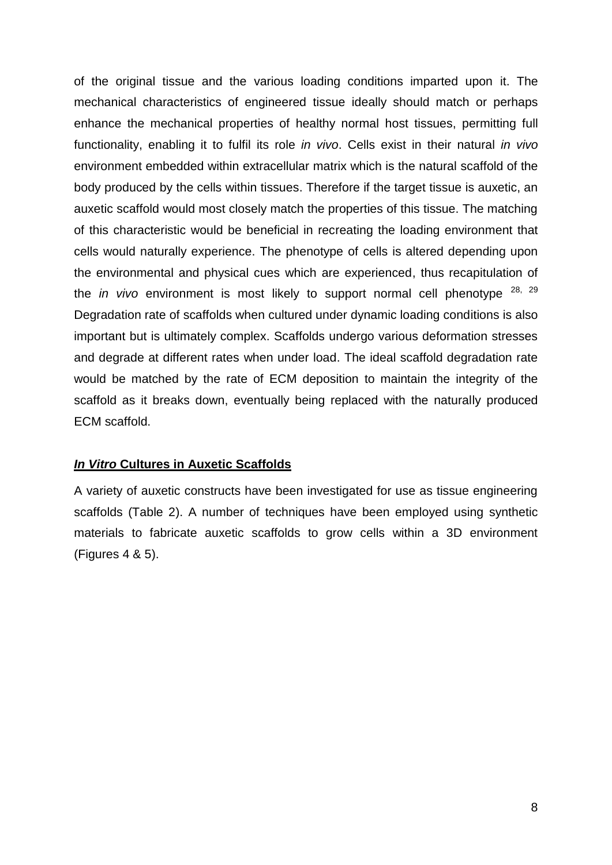of the original tissue and the various loading conditions imparted upon it. The mechanical characteristics of engineered tissue ideally should match or perhaps enhance the mechanical properties of healthy normal host tissues, permitting full functionality, enabling it to fulfil its role *in vivo*. Cells exist in their natural *in vivo* environment embedded within extracellular matrix which is the natural scaffold of the body produced by the cells within tissues. Therefore if the target tissue is auxetic, an auxetic scaffold would most closely match the properties of this tissue. The matching of this characteristic would be beneficial in recreating the loading environment that cells would naturally experience. The phenotype of cells is altered depending upon the environmental and physical cues which are experienced, thus recapitulation of the *in vivo* environment is most likely to support normal cell phenotype <sup>28, 29</sup> Degradation rate of scaffolds when cultured under dynamic loading conditions is also important but is ultimately complex. Scaffolds undergo various deformation stresses and degrade at different rates when under load. The ideal scaffold degradation rate would be matched by the rate of ECM deposition to maintain the integrity of the scaffold as it breaks down, eventually being replaced with the naturally produced ECM scaffold.

# *In Vitro* **Cultures in Auxetic Scaffolds**

A variety of auxetic constructs have been investigated for use as tissue engineering scaffolds (Table 2). A number of techniques have been employed using synthetic materials to fabricate auxetic scaffolds to grow cells within a 3D environment (Figures 4 & 5).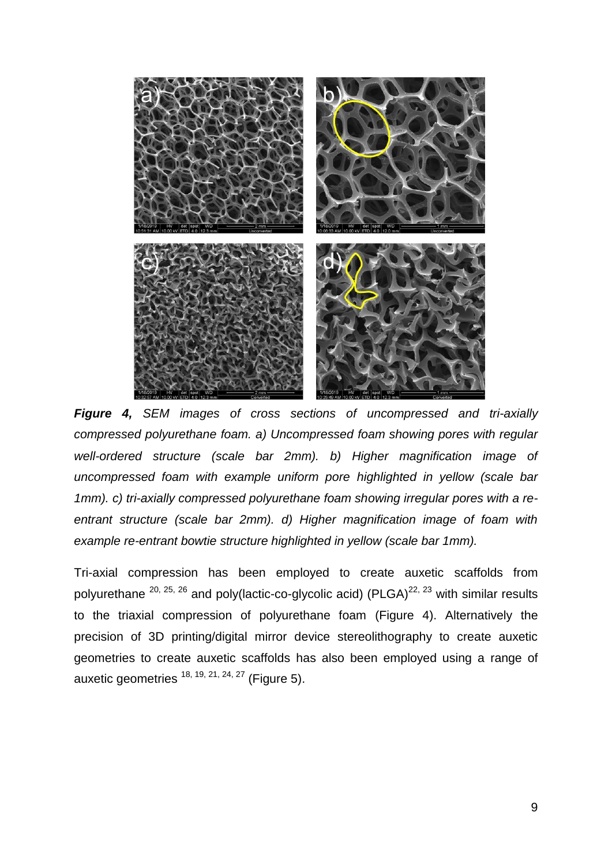

*Figure 4, SEM images of cross sections of uncompressed and tri-axially compressed polyurethane foam. a) Uncompressed foam showing pores with regular well-ordered structure (scale bar 2mm). b) Higher magnification image of uncompressed foam with example uniform pore highlighted in yellow (scale bar 1mm). c) tri-axially compressed polyurethane foam showing irregular pores with a reentrant structure (scale bar 2mm). d) Higher magnification image of foam with example re-entrant bowtie structure highlighted in yellow (scale bar 1mm).*

Tri-axial compression has been employed to create auxetic scaffolds from polyurethane  $^{20, 25, 26}$  and poly(lactic-co-glycolic acid) (PLGA)<sup>22, 23</sup> with similar results to the triaxial compression of polyurethane foam (Figure 4). Alternatively the precision of 3D printing/digital mirror device stereolithography to create auxetic geometries to create auxetic scaffolds has also been employed using a range of auxetic geometries  $18, 19, 21, 24, 27$  (Figure 5).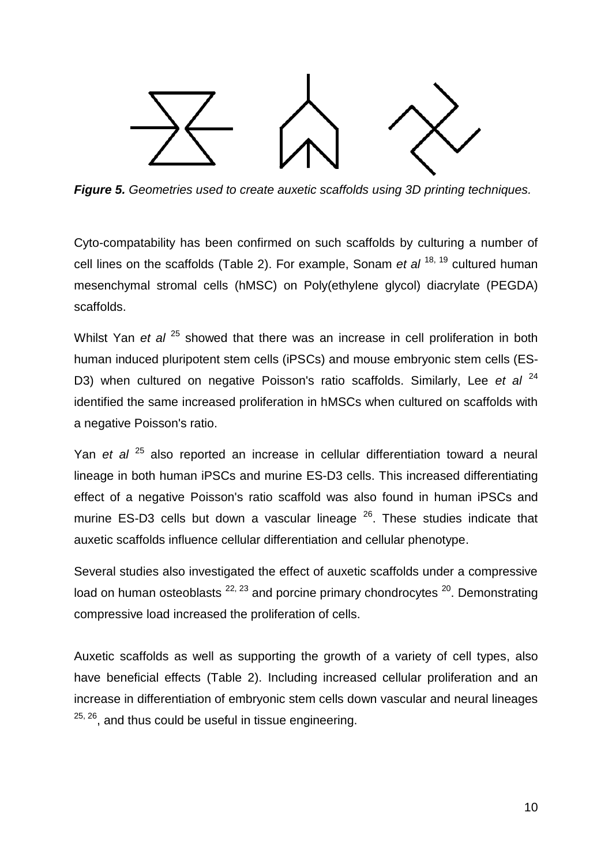

*Figure 5. Geometries used to create auxetic scaffolds using 3D printing techniques.*

Cyto-compatability has been confirmed on such scaffolds by culturing a number of cell lines on the scaffolds (Table 2). For example, Sonam *et al* <sup>18, 19</sup> cultured human mesenchymal stromal cells (hMSC) on Poly(ethylene glycol) diacrylate (PEGDA) scaffolds.

Whilst Yan *et al* <sup>25</sup> showed that there was an increase in cell proliferation in both human induced pluripotent stem cells (iPSCs) and mouse embryonic stem cells (ES-D3) when cultured on negative Poisson's ratio scaffolds. Similarly, Lee et al <sup>24</sup> identified the same increased proliferation in hMSCs when cultured on scaffolds with a negative Poisson's ratio.

Yan *et al* <sup>25</sup> also reported an increase in cellular differentiation toward a neural lineage in both human iPSCs and murine ES-D3 cells. This increased differentiating effect of a negative Poisson's ratio scaffold was also found in human iPSCs and murine ES-D3 cells but down a vascular lineage  $26$ . These studies indicate that auxetic scaffolds influence cellular differentiation and cellular phenotype.

Several studies also investigated the effect of auxetic scaffolds under a compressive load on human osteoblasts  $^{22, 23}$  and porcine primary chondrocytes  $^{20}$ . Demonstrating compressive load increased the proliferation of cells.

Auxetic scaffolds as well as supporting the growth of a variety of cell types, also have beneficial effects (Table 2). Including increased cellular proliferation and an increase in differentiation of embryonic stem cells down vascular and neural lineages  $25, 26$ , and thus could be useful in tissue engineering.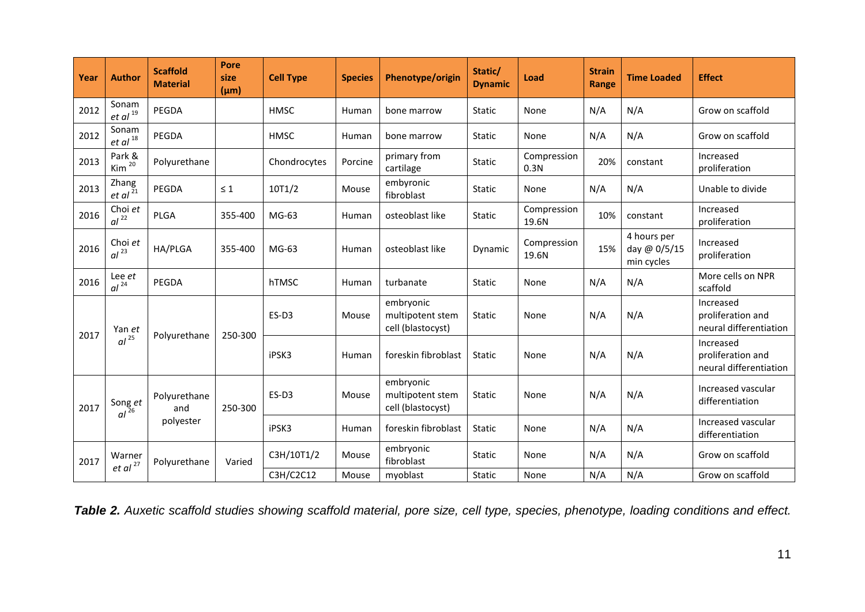| Year | <b>Author</b>                  | <b>Scaffold</b><br><b>Material</b> | <b>Pore</b><br>size<br>$(\mu m)$ | <b>Cell Type</b> | <b>Species</b> | Phenotype/origin                                   | Static/<br><b>Dynamic</b> | Load                 | <b>Strain</b><br>Range | <b>Time Loaded</b>                        | <b>Effect</b>                                            |
|------|--------------------------------|------------------------------------|----------------------------------|------------------|----------------|----------------------------------------------------|---------------------------|----------------------|------------------------|-------------------------------------------|----------------------------------------------------------|
| 2012 | Sonam<br>$et$ al $^{19}$       | PEGDA                              |                                  | <b>HMSC</b>      | Human          | bone marrow                                        | <b>Static</b>             | None                 | N/A                    | N/A                                       | Grow on scaffold                                         |
| 2012 | Sonam<br>$et al$ <sup>18</sup> | PEGDA                              |                                  | <b>HMSC</b>      | Human          | bone marrow                                        | <b>Static</b>             | None                 | N/A                    | N/A                                       | Grow on scaffold                                         |
| 2013 | Park &<br>Kim <sup>20</sup>    | Polyurethane                       |                                  | Chondrocytes     | Porcine        | primary from<br>cartilage                          | Static                    | Compression<br>0.3N  | 20%                    | constant                                  | Increased<br>proliferation                               |
| 2013 | Zhang<br>$et al^{\bar{21}}$    | PEGDA                              | $\leq 1$                         | 10T1/2           | Mouse          | embyronic<br>fibroblast                            | Static                    | None                 | N/A                    | N/A                                       | Unable to divide                                         |
| 2016 | Choi et<br>$al^{22}$           | <b>PLGA</b>                        | 355-400                          | $MG-63$          | Human          | osteoblast like                                    | <b>Static</b>             | Compression<br>19.6N | 10%                    | constant                                  | Increased<br>proliferation                               |
| 2016 | Choi et<br>al <sup>23</sup>    | HA/PLGA                            | 355-400                          | $MG-63$          | Human          | osteoblast like                                    | Dynamic                   | Compression<br>19.6N | 15%                    | 4 hours per<br>day @ 0/5/15<br>min cycles | Increased<br>proliferation                               |
| 2016 | Lee et<br>al <sup>24</sup>     | PEGDA                              |                                  | hTMSC            | Human          | turbanate                                          | <b>Static</b>             | None                 | N/A                    | N/A                                       | More cells on NPR<br>scaffold                            |
| 2017 | Yan et<br>$al^{25}$            | Polyurethane                       | 250-300                          | ES-D3            | Mouse          | embryonic<br>multipotent stem<br>cell (blastocyst) | <b>Static</b>             | None                 | N/A                    | N/A                                       | Increased<br>proliferation and<br>neural differentiation |
|      |                                |                                    |                                  | iPSK3            | Human          | foreskin fibroblast                                | <b>Static</b>             | None                 | N/A                    | N/A                                       | Increased<br>proliferation and<br>neural differentiation |
| 2017 | Song et<br>$al^{\frac{3}{26}}$ | Polyurethane<br>and<br>polyester   | 250-300                          | ES-D3            | Mouse          | embryonic<br>multipotent stem<br>cell (blastocyst) | <b>Static</b>             | None                 | N/A                    | N/A                                       | Increased vascular<br>differentiation                    |
|      |                                |                                    |                                  | iPSK3            | Human          | foreskin fibroblast                                | <b>Static</b>             | None                 | N/A                    | N/A                                       | Increased vascular<br>differentiation                    |
| 2017 | Warner<br>et al <sup>27</sup>  | Polyurethane                       | Varied                           | C3H/10T1/2       | Mouse          | embryonic<br>fibroblast                            | Static                    | None                 | N/A                    | N/A                                       | Grow on scaffold                                         |
|      |                                |                                    |                                  | C3H/C2C12        | Mouse          | myoblast                                           | <b>Static</b>             | None                 | N/A                    | N/A                                       | Grow on scaffold                                         |

*Table 2. Auxetic scaffold studies showing scaffold material, pore size, cell type, species, phenotype, loading conditions and effect.*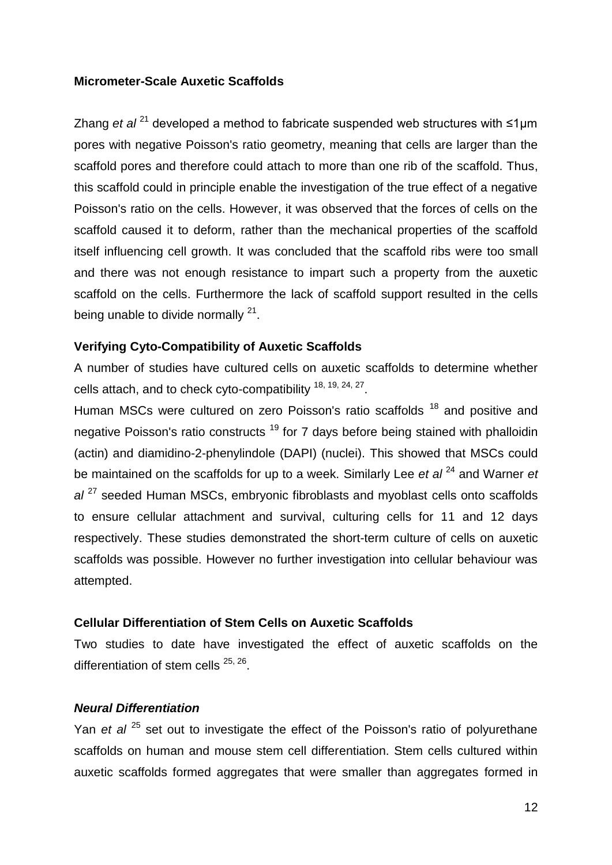#### **Micrometer-Scale Auxetic Scaffolds**

Zhang *et al* <sup>21</sup> developed a method to fabricate suspended web structures with ≤1µm pores with negative Poisson's ratio geometry, meaning that cells are larger than the scaffold pores and therefore could attach to more than one rib of the scaffold. Thus, this scaffold could in principle enable the investigation of the true effect of a negative Poisson's ratio on the cells. However, it was observed that the forces of cells on the scaffold caused it to deform, rather than the mechanical properties of the scaffold itself influencing cell growth. It was concluded that the scaffold ribs were too small and there was not enough resistance to impart such a property from the auxetic scaffold on the cells. Furthermore the lack of scaffold support resulted in the cells being unable to divide normally  $21$ .

# **Verifying Cyto-Compatibility of Auxetic Scaffolds**

A number of studies have cultured cells on auxetic scaffolds to determine whether cells attach, and to check cyto-compatibility  $18, 19, 24, 27$ .

Human MSCs were cultured on zero Poisson's ratio scaffolds <sup>18</sup> and positive and negative Poisson's ratio constructs <sup>19</sup> for 7 days before being stained with phalloidin (actin) and diamidino-2-phenylindole (DAPI) (nuclei). This showed that MSCs could be maintained on the scaffolds for up to a week. Similarly Lee *et al* <sup>24</sup> and Warner *et al* <sup>27</sup> seeded Human MSCs, embryonic fibroblasts and myoblast cells onto scaffolds to ensure cellular attachment and survival, culturing cells for 11 and 12 days respectively. These studies demonstrated the short-term culture of cells on auxetic scaffolds was possible. However no further investigation into cellular behaviour was attempted.

#### **Cellular Differentiation of Stem Cells on Auxetic Scaffolds**

Two studies to date have investigated the effect of auxetic scaffolds on the differentiation of stem cells <sup>25, 26</sup>.

#### *Neural Differentiation*

Yan *et al* <sup>25</sup> set out to investigate the effect of the Poisson's ratio of polyurethane scaffolds on human and mouse stem cell differentiation. Stem cells cultured within auxetic scaffolds formed aggregates that were smaller than aggregates formed in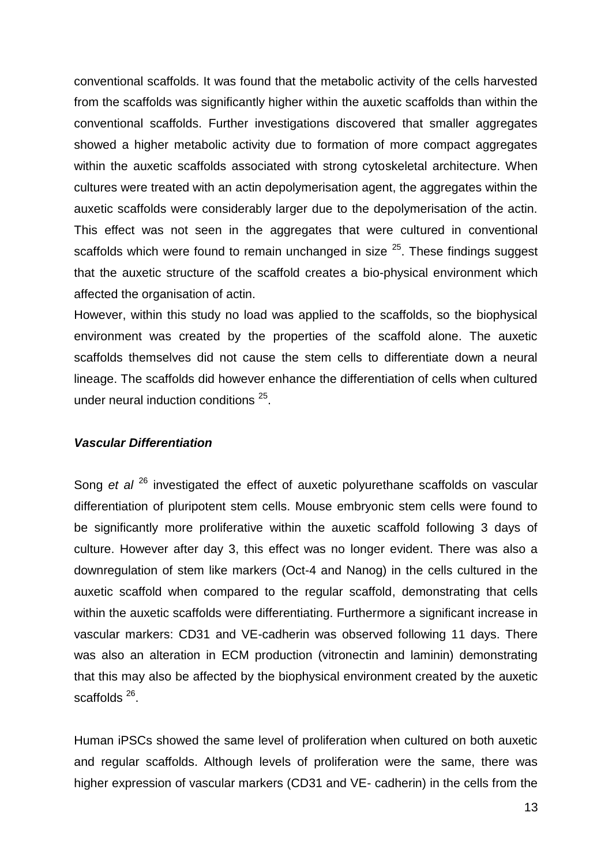conventional scaffolds. It was found that the metabolic activity of the cells harvested from the scaffolds was significantly higher within the auxetic scaffolds than within the conventional scaffolds. Further investigations discovered that smaller aggregates showed a higher metabolic activity due to formation of more compact aggregates within the auxetic scaffolds associated with strong cytoskeletal architecture. When cultures were treated with an actin depolymerisation agent, the aggregates within the auxetic scaffolds were considerably larger due to the depolymerisation of the actin. This effect was not seen in the aggregates that were cultured in conventional scaffolds which were found to remain unchanged in size  $25$ . These findings suggest that the auxetic structure of the scaffold creates a bio-physical environment which affected the organisation of actin.

However, within this study no load was applied to the scaffolds, so the biophysical environment was created by the properties of the scaffold alone. The auxetic scaffolds themselves did not cause the stem cells to differentiate down a neural lineage. The scaffolds did however enhance the differentiation of cells when cultured under neural induction conditions<sup>25</sup>.

#### *Vascular Differentiation*

Song *et al* <sup>26</sup> investigated the effect of auxetic polyurethane scaffolds on vascular differentiation of pluripotent stem cells. Mouse embryonic stem cells were found to be significantly more proliferative within the auxetic scaffold following 3 days of culture. However after day 3, this effect was no longer evident. There was also a downregulation of stem like markers (Oct-4 and Nanog) in the cells cultured in the auxetic scaffold when compared to the regular scaffold, demonstrating that cells within the auxetic scaffolds were differentiating. Furthermore a significant increase in vascular markers: CD31 and VE-cadherin was observed following 11 days. There was also an alteration in ECM production (vitronectin and laminin) demonstrating that this may also be affected by the biophysical environment created by the auxetic scaffolds<sup>26</sup>.

Human iPSCs showed the same level of proliferation when cultured on both auxetic and regular scaffolds. Although levels of proliferation were the same, there was higher expression of vascular markers (CD31 and VE- cadherin) in the cells from the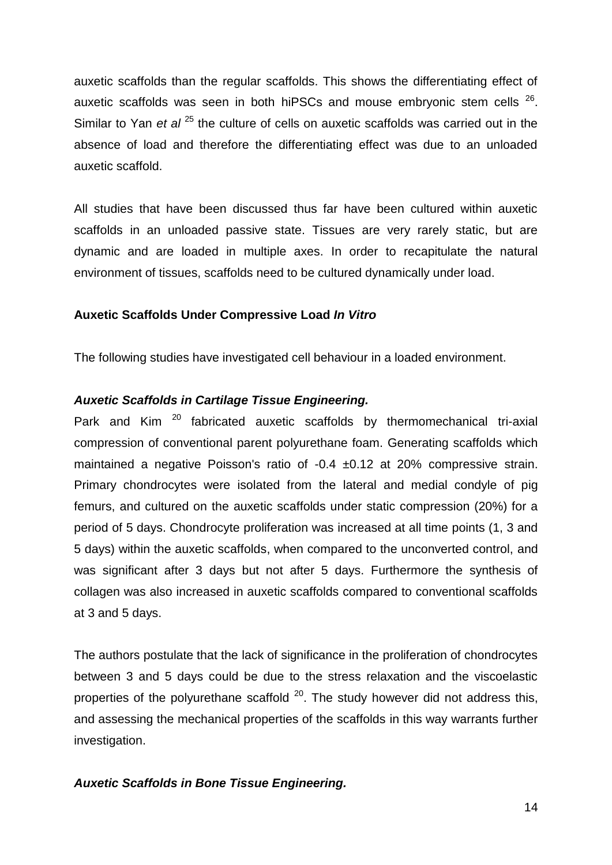auxetic scaffolds than the regular scaffolds. This shows the differentiating effect of auxetic scaffolds was seen in both hiPSCs and mouse embryonic stem cells  $^{26}$ . Similar to Yan *et al* <sup>25</sup> the culture of cells on auxetic scaffolds was carried out in the absence of load and therefore the differentiating effect was due to an unloaded auxetic scaffold.

All studies that have been discussed thus far have been cultured within auxetic scaffolds in an unloaded passive state. Tissues are very rarely static, but are dynamic and are loaded in multiple axes. In order to recapitulate the natural environment of tissues, scaffolds need to be cultured dynamically under load.

# **Auxetic Scaffolds Under Compressive Load** *In Vitro*

The following studies have investigated cell behaviour in a loaded environment.

#### *Auxetic Scaffolds in Cartilage Tissue Engineering.*

Park and Kim<sup>20</sup> fabricated auxetic scaffolds by thermomechanical tri-axial compression of conventional parent polyurethane foam. Generating scaffolds which maintained a negative Poisson's ratio of -0.4 ±0.12 at 20% compressive strain. Primary chondrocytes were isolated from the lateral and medial condyle of pig femurs, and cultured on the auxetic scaffolds under static compression (20%) for a period of 5 days. Chondrocyte proliferation was increased at all time points (1, 3 and 5 days) within the auxetic scaffolds, when compared to the unconverted control, and was significant after 3 days but not after 5 days. Furthermore the synthesis of collagen was also increased in auxetic scaffolds compared to conventional scaffolds at 3 and 5 days.

The authors postulate that the lack of significance in the proliferation of chondrocytes between 3 and 5 days could be due to the stress relaxation and the viscoelastic properties of the polyurethane scaffold  $20$ . The study however did not address this, and assessing the mechanical properties of the scaffolds in this way warrants further investigation.

# *Auxetic Scaffolds in Bone Tissue Engineering.*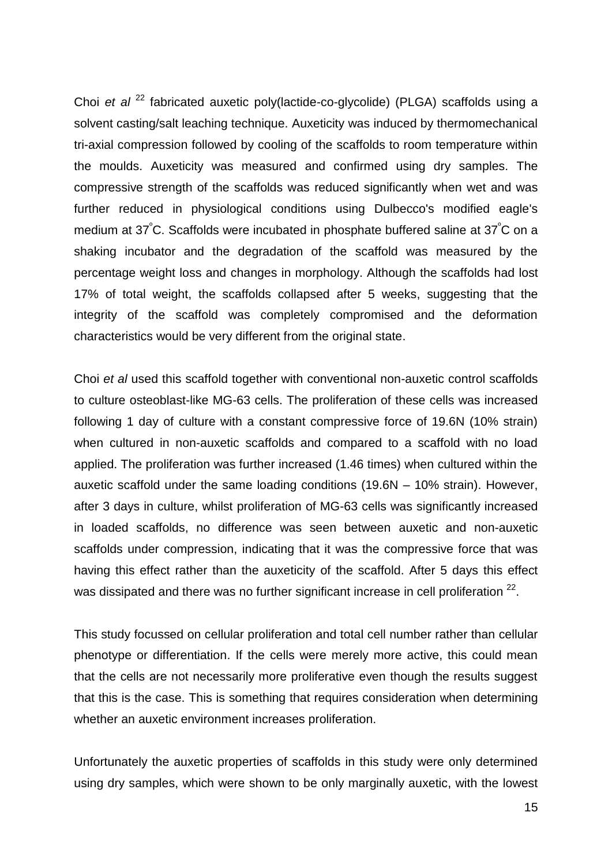Choi *et al* <sup>22</sup> fabricated auxetic poly(lactide-co-glycolide) (PLGA) scaffolds using a solvent casting/salt leaching technique. Auxeticity was induced by thermomechanical tri-axial compression followed by cooling of the scaffolds to room temperature within the moulds. Auxeticity was measured and confirmed using dry samples. The compressive strength of the scaffolds was reduced significantly when wet and was further reduced in physiological conditions using Dulbecco's modified eagle's medium at 37<sup>º</sup>C. Scaffolds were incubated in phosphate buffered saline at 37<sup>º</sup>C on a shaking incubator and the degradation of the scaffold was measured by the percentage weight loss and changes in morphology. Although the scaffolds had lost 17% of total weight, the scaffolds collapsed after 5 weeks, suggesting that the integrity of the scaffold was completely compromised and the deformation characteristics would be very different from the original state.

Choi *et al* used this scaffold together with conventional non-auxetic control scaffolds to culture osteoblast-like MG-63 cells. The proliferation of these cells was increased following 1 day of culture with a constant compressive force of 19.6N (10% strain) when cultured in non-auxetic scaffolds and compared to a scaffold with no load applied. The proliferation was further increased (1.46 times) when cultured within the auxetic scaffold under the same loading conditions (19.6N – 10% strain). However, after 3 days in culture, whilst proliferation of MG-63 cells was significantly increased in loaded scaffolds, no difference was seen between auxetic and non-auxetic scaffolds under compression, indicating that it was the compressive force that was having this effect rather than the auxeticity of the scaffold. After 5 days this effect was dissipated and there was no further significant increase in cell proliferation  $^{22}$ .

This study focussed on cellular proliferation and total cell number rather than cellular phenotype or differentiation. If the cells were merely more active, this could mean that the cells are not necessarily more proliferative even though the results suggest that this is the case. This is something that requires consideration when determining whether an auxetic environment increases proliferation.

Unfortunately the auxetic properties of scaffolds in this study were only determined using dry samples, which were shown to be only marginally auxetic, with the lowest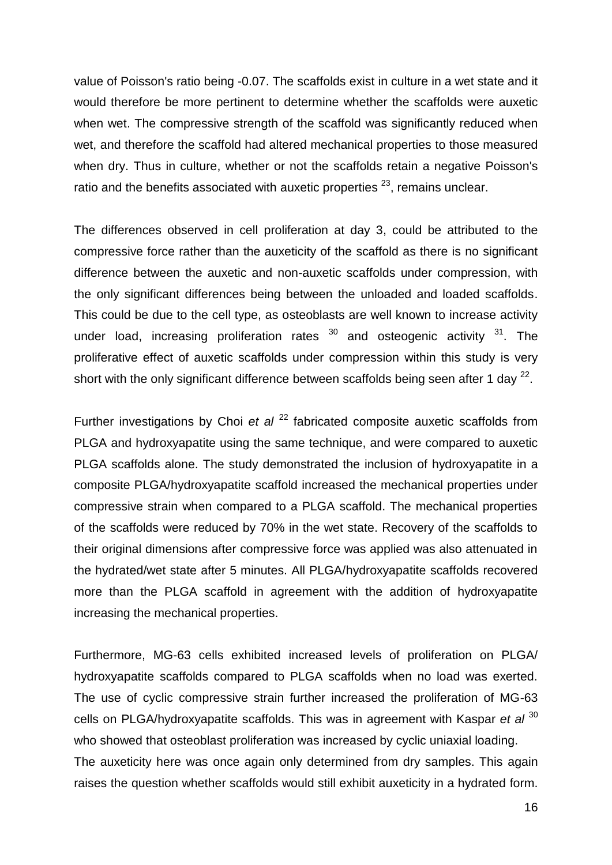value of Poisson's ratio being -0.07. The scaffolds exist in culture in a wet state and it would therefore be more pertinent to determine whether the scaffolds were auxetic when wet. The compressive strength of the scaffold was significantly reduced when wet, and therefore the scaffold had altered mechanical properties to those measured when dry. Thus in culture, whether or not the scaffolds retain a negative Poisson's ratio and the benefits associated with auxetic properties  $23$ , remains unclear.

The differences observed in cell proliferation at day 3, could be attributed to the compressive force rather than the auxeticity of the scaffold as there is no significant difference between the auxetic and non-auxetic scaffolds under compression, with the only significant differences being between the unloaded and loaded scaffolds. This could be due to the cell type, as osteoblasts are well known to increase activity under load, increasing proliferation rates  $30$  and osteogenic activity  $31$ . The proliferative effect of auxetic scaffolds under compression within this study is very short with the only significant difference between scaffolds being seen after 1 day  $^{22}$ .

Further investigations by Choi *et al* <sup>22</sup> fabricated composite auxetic scaffolds from PLGA and hydroxyapatite using the same technique, and were compared to auxetic PLGA scaffolds alone. The study demonstrated the inclusion of hydroxyapatite in a composite PLGA/hydroxyapatite scaffold increased the mechanical properties under compressive strain when compared to a PLGA scaffold. The mechanical properties of the scaffolds were reduced by 70% in the wet state. Recovery of the scaffolds to their original dimensions after compressive force was applied was also attenuated in the hydrated/wet state after 5 minutes. All PLGA/hydroxyapatite scaffolds recovered more than the PLGA scaffold in agreement with the addition of hydroxyapatite increasing the mechanical properties.

Furthermore, MG-63 cells exhibited increased levels of proliferation on PLGA/ hydroxyapatite scaffolds compared to PLGA scaffolds when no load was exerted. The use of cyclic compressive strain further increased the proliferation of MG-63 cells on PLGA/hydroxyapatite scaffolds. This was in agreement with Kaspar *et al* <sup>30</sup> who showed that osteoblast proliferation was increased by cyclic uniaxial loading. The auxeticity here was once again only determined from dry samples. This again raises the question whether scaffolds would still exhibit auxeticity in a hydrated form.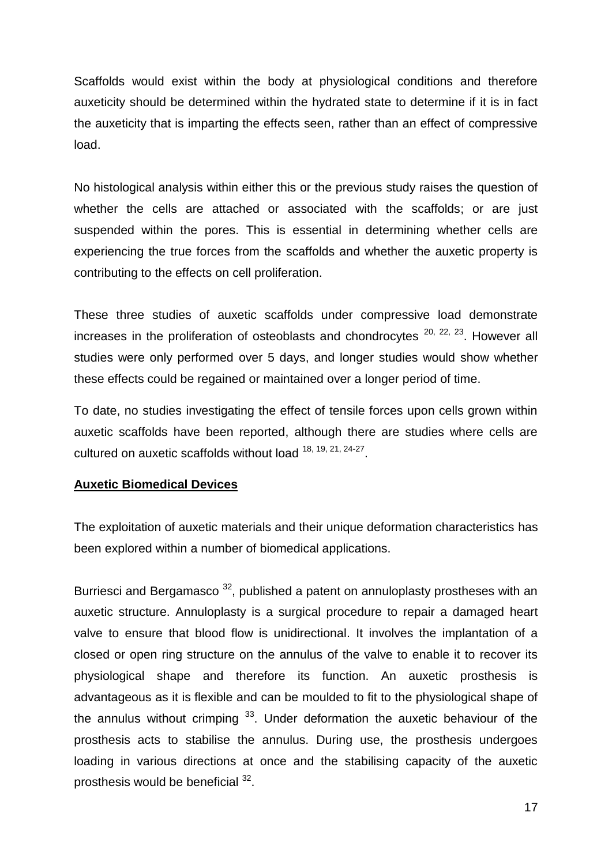Scaffolds would exist within the body at physiological conditions and therefore auxeticity should be determined within the hydrated state to determine if it is in fact the auxeticity that is imparting the effects seen, rather than an effect of compressive load.

No histological analysis within either this or the previous study raises the question of whether the cells are attached or associated with the scaffolds; or are just suspended within the pores. This is essential in determining whether cells are experiencing the true forces from the scaffolds and whether the auxetic property is contributing to the effects on cell proliferation.

These three studies of auxetic scaffolds under compressive load demonstrate increases in the proliferation of osteoblasts and chondrocytes  $20, 22, 23$ . However all studies were only performed over 5 days, and longer studies would show whether these effects could be regained or maintained over a longer period of time.

To date, no studies investigating the effect of tensile forces upon cells grown within auxetic scaffolds have been reported, although there are studies where cells are cultured on auxetic scaffolds without load <sup>18, 19, 21, 24-27</sup>.

# **Auxetic Biomedical Devices**

The exploitation of auxetic materials and their unique deformation characteristics has been explored within a number of biomedical applications.

Burriesci and Bergamasco<sup>32</sup>, published a patent on annuloplasty prostheses with an auxetic structure. Annuloplasty is a surgical procedure to repair a damaged heart valve to ensure that blood flow is unidirectional. It involves the implantation of a closed or open ring structure on the annulus of the valve to enable it to recover its physiological shape and therefore its function. An auxetic prosthesis is advantageous as it is flexible and can be moulded to fit to the physiological shape of the annulus without crimping  $33$ . Under deformation the auxetic behaviour of the prosthesis acts to stabilise the annulus. During use, the prosthesis undergoes loading in various directions at once and the stabilising capacity of the auxetic prosthesis would be beneficial <sup>32</sup>.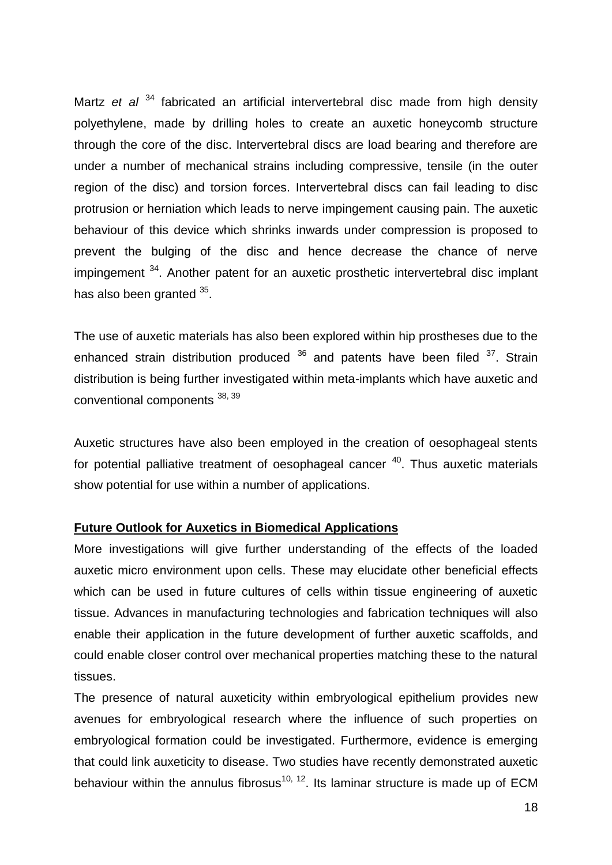Martz *et al* <sup>34</sup> fabricated an artificial intervertebral disc made from high density polyethylene, made by drilling holes to create an auxetic honeycomb structure through the core of the disc. Intervertebral discs are load bearing and therefore are under a number of mechanical strains including compressive, tensile (in the outer region of the disc) and torsion forces. Intervertebral discs can fail leading to disc protrusion or herniation which leads to nerve impingement causing pain. The auxetic behaviour of this device which shrinks inwards under compression is proposed to prevent the bulging of the disc and hence decrease the chance of nerve impingement <sup>34</sup>. Another patent for an auxetic prosthetic intervertebral disc implant has also been granted <sup>35</sup>.

The use of auxetic materials has also been explored within hip prostheses due to the enhanced strain distribution produced  $36$  and patents have been filed  $37$ . Strain distribution is being further investigated within meta-implants which have auxetic and conventional components 38, 39

Auxetic structures have also been employed in the creation of oesophageal stents for potential palliative treatment of oesophageal cancer <sup>40</sup>. Thus auxetic materials show potential for use within a number of applications.

#### **Future Outlook for Auxetics in Biomedical Applications**

More investigations will give further understanding of the effects of the loaded auxetic micro environment upon cells. These may elucidate other beneficial effects which can be used in future cultures of cells within tissue engineering of auxetic tissue. Advances in manufacturing technologies and fabrication techniques will also enable their application in the future development of further auxetic scaffolds, and could enable closer control over mechanical properties matching these to the natural tissues.

The presence of natural auxeticity within embryological epithelium provides new avenues for embryological research where the influence of such properties on embryological formation could be investigated. Furthermore, evidence is emerging that could link auxeticity to disease. Two studies have recently demonstrated auxetic behaviour within the annulus fibrosus<sup>10, 12</sup>. Its laminar structure is made up of ECM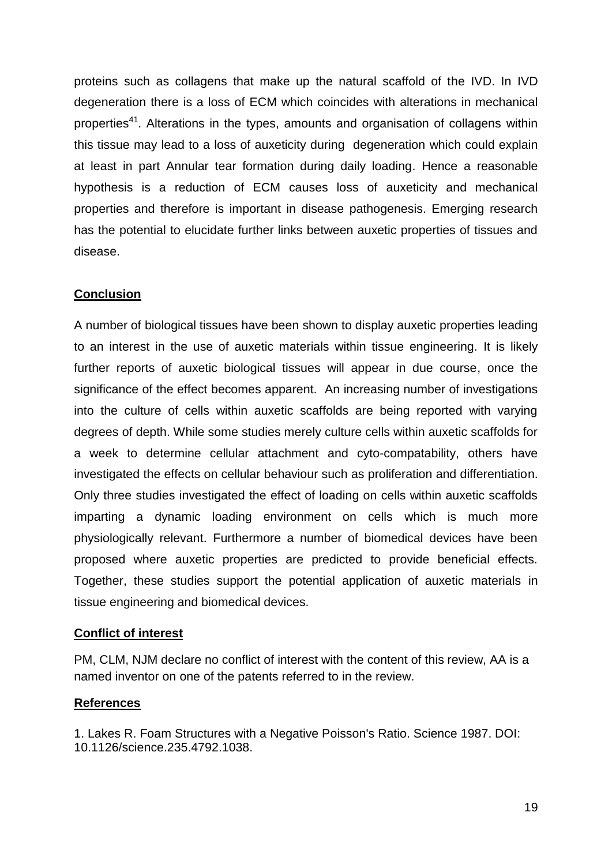proteins such as collagens that make up the natural scaffold of the IVD. In IVD degeneration there is a loss of ECM which coincides with alterations in mechanical properties<sup>41</sup>. Alterations in the types, amounts and organisation of collagens within this tissue may lead to a loss of auxeticity during degeneration which could explain at least in part Annular tear formation during daily loading. Hence a reasonable hypothesis is a reduction of ECM causes loss of auxeticity and mechanical properties and therefore is important in disease pathogenesis. Emerging research has the potential to elucidate further links between auxetic properties of tissues and disease.

# **Conclusion**

A number of biological tissues have been shown to display auxetic properties leading to an interest in the use of auxetic materials within tissue engineering. It is likely further reports of auxetic biological tissues will appear in due course, once the significance of the effect becomes apparent. An increasing number of investigations into the culture of cells within auxetic scaffolds are being reported with varying degrees of depth. While some studies merely culture cells within auxetic scaffolds for a week to determine cellular attachment and cyto-compatability, others have investigated the effects on cellular behaviour such as proliferation and differentiation. Only three studies investigated the effect of loading on cells within auxetic scaffolds imparting a dynamic loading environment on cells which is much more physiologically relevant. Furthermore a number of biomedical devices have been proposed where auxetic properties are predicted to provide beneficial effects. Together, these studies support the potential application of auxetic materials in tissue engineering and biomedical devices.

# **Conflict of interest**

PM, CLM, NJM declare no conflict of interest with the content of this review, AA is a named inventor on one of the patents referred to in the review.

# **References**

1. Lakes R. Foam Structures with a Negative Poisson's Ratio. Science 1987. DOI: 10.1126/science.235.4792.1038.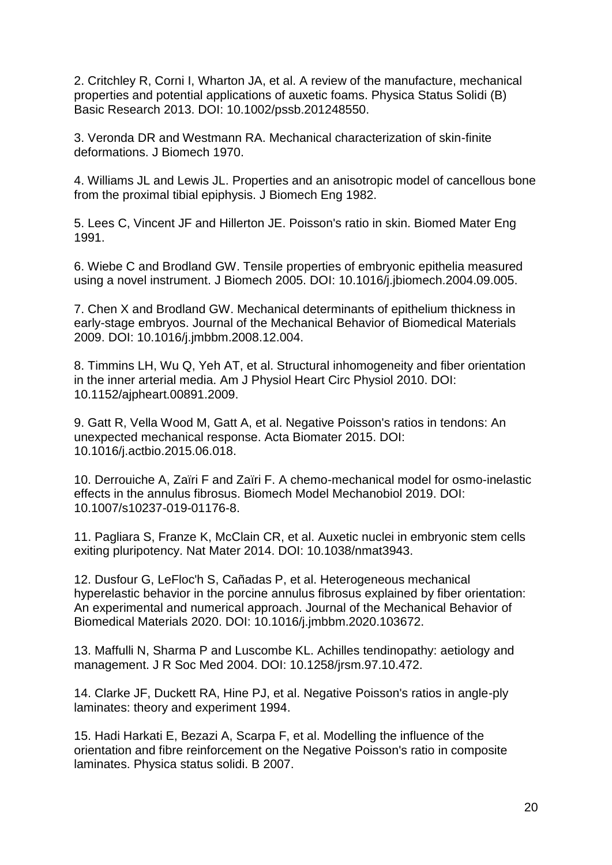2. Critchley R, Corni I, Wharton JA, et al. A review of the manufacture, mechanical properties and potential applications of auxetic foams. Physica Status Solidi (B) Basic Research 2013. DOI: 10.1002/pssb.201248550.

3. Veronda DR and Westmann RA. Mechanical characterization of skin-finite deformations. J Biomech 1970.

4. Williams JL and Lewis JL. Properties and an anisotropic model of cancellous bone from the proximal tibial epiphysis. J Biomech Eng 1982.

5. Lees C, Vincent JF and Hillerton JE. Poisson's ratio in skin. Biomed Mater Eng 1991.

6. Wiebe C and Brodland GW. Tensile properties of embryonic epithelia measured using a novel instrument. J Biomech 2005. DOI: 10.1016/j.jbiomech.2004.09.005.

7. Chen X and Brodland GW. Mechanical determinants of epithelium thickness in early-stage embryos. Journal of the Mechanical Behavior of Biomedical Materials 2009. DOI: 10.1016/j.jmbbm.2008.12.004.

8. Timmins LH, Wu Q, Yeh AT, et al. Structural inhomogeneity and fiber orientation in the inner arterial media. Am J Physiol Heart Circ Physiol 2010. DOI: 10.1152/ajpheart.00891.2009.

9. Gatt R, Vella Wood M, Gatt A, et al. Negative Poisson's ratios in tendons: An unexpected mechanical response. Acta Biomater 2015. DOI: 10.1016/j.actbio.2015.06.018.

10. Derrouiche A, Zaïri F and Zaïri F. A chemo-mechanical model for osmo-inelastic effects in the annulus fibrosus. Biomech Model Mechanobiol 2019. DOI: 10.1007/s10237-019-01176-8.

11. Pagliara S, Franze K, McClain CR, et al. Auxetic nuclei in embryonic stem cells exiting pluripotency. Nat Mater 2014. DOI: 10.1038/nmat3943.

12. Dusfour G, LeFloc'h S, Cañadas P, et al. Heterogeneous mechanical hyperelastic behavior in the porcine annulus fibrosus explained by fiber orientation: An experimental and numerical approach. Journal of the Mechanical Behavior of Biomedical Materials 2020. DOI: 10.1016/j.jmbbm.2020.103672.

13. Maffulli N, Sharma P and Luscombe KL. Achilles tendinopathy: aetiology and management. J R Soc Med 2004. DOI: 10.1258/jrsm.97.10.472.

14. Clarke JF, Duckett RA, Hine PJ, et al. Negative Poisson's ratios in angle-ply laminates: theory and experiment 1994.

15. Hadi Harkati E, Bezazi A, Scarpa F, et al. Modelling the influence of the orientation and fibre reinforcement on the Negative Poisson's ratio in composite laminates. Physica status solidi. B 2007.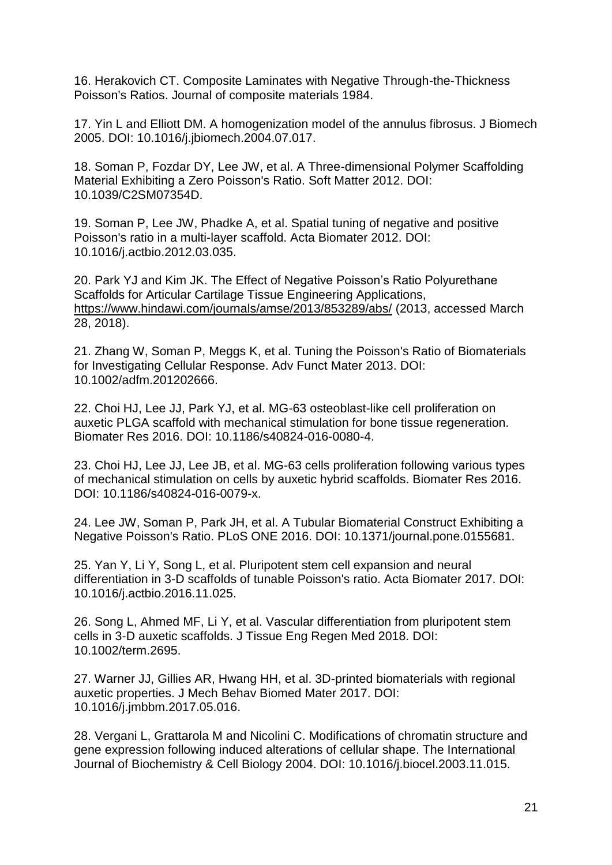16. Herakovich CT. Composite Laminates with Negative Through-the-Thickness Poisson's Ratios. Journal of composite materials 1984.

17. Yin L and Elliott DM. A homogenization model of the annulus fibrosus. J Biomech 2005. DOI: 10.1016/j.jbiomech.2004.07.017.

18. Soman P, Fozdar DY, Lee JW, et al. A Three-dimensional Polymer Scaffolding Material Exhibiting a Zero Poisson's Ratio. Soft Matter 2012. DOI: 10.1039/C2SM07354D.

19. Soman P, Lee JW, Phadke A, et al. Spatial tuning of negative and positive Poisson's ratio in a multi-layer scaffold. Acta Biomater 2012. DOI: 10.1016/j.actbio.2012.03.035.

20. Park YJ and Kim JK. The Effect of Negative Poisson's Ratio Polyurethane Scaffolds for Articular Cartilage Tissue Engineering Applications, <https://www.hindawi.com/journals/amse/2013/853289/abs/> (2013, accessed March 28, 2018).

21. Zhang W, Soman P, Meggs K, et al. Tuning the Poisson's Ratio of Biomaterials for Investigating Cellular Response. Adv Funct Mater 2013. DOI: 10.1002/adfm.201202666.

22. Choi HJ, Lee JJ, Park YJ, et al. MG-63 osteoblast-like cell proliferation on auxetic PLGA scaffold with mechanical stimulation for bone tissue regeneration. Biomater Res 2016. DOI: 10.1186/s40824-016-0080-4.

23. Choi HJ, Lee JJ, Lee JB, et al. MG-63 cells proliferation following various types of mechanical stimulation on cells by auxetic hybrid scaffolds. Biomater Res 2016. DOI: 10.1186/s40824-016-0079-x.

24. Lee JW, Soman P, Park JH, et al. A Tubular Biomaterial Construct Exhibiting a Negative Poisson's Ratio. PLoS ONE 2016. DOI: 10.1371/journal.pone.0155681.

25. Yan Y, Li Y, Song L, et al. Pluripotent stem cell expansion and neural differentiation in 3-D scaffolds of tunable Poisson's ratio. Acta Biomater 2017. DOI: 10.1016/j.actbio.2016.11.025.

26. Song L, Ahmed MF, Li Y, et al. Vascular differentiation from pluripotent stem cells in 3-D auxetic scaffolds. J Tissue Eng Regen Med 2018. DOI: 10.1002/term.2695.

27. Warner JJ, Gillies AR, Hwang HH, et al. 3D-printed biomaterials with regional auxetic properties. J Mech Behav Biomed Mater 2017. DOI: 10.1016/j.jmbbm.2017.05.016.

28. Vergani L, Grattarola M and Nicolini C. Modifications of chromatin structure and gene expression following induced alterations of cellular shape. The International Journal of Biochemistry & Cell Biology 2004. DOI: 10.1016/j.biocel.2003.11.015.